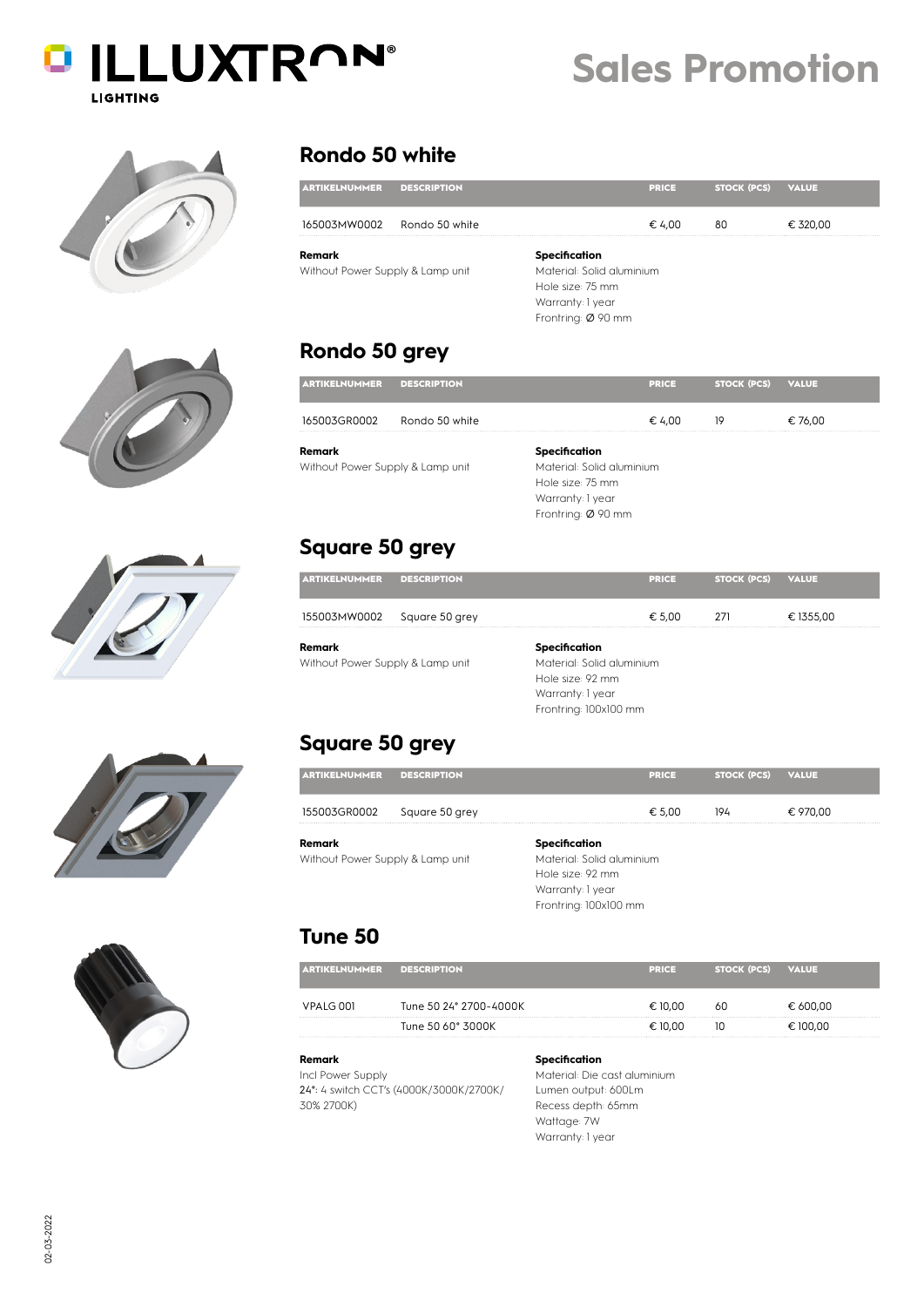









### **Rondo 50 white**

| <b>ARTIKELNUMMER</b>             | <b>DESCRIPTION</b> |                           | <b>PRICE</b> | <b>STOCK (PCS)</b> | <b>VALUE</b> |  |
|----------------------------------|--------------------|---------------------------|--------------|--------------------|--------------|--|
| 165003MW0002                     | Rondo 50 white     |                           | € 4.00       | 80                 | € 320,00     |  |
| Remark                           |                    | Specification             |              |                    |              |  |
| Without Power Supply & Lamp unit |                    | Material: Solid aluminium |              |                    |              |  |
|                                  |                    | Hole size: 75 mm          |              |                    |              |  |
|                                  |                    | Warranty: 1 year          |              |                    |              |  |
|                                  |                    | Frontring: Ø 90 mm        |              |                    |              |  |

**Sales Promotion**

## **Rondo 50 grey**

| <b>ARTIKELNUMMER</b>                       | <b>DESCRIPTION</b> |                                            | <b>PRICE</b> | <b>STOCK (PCS)</b> | <b>VALUE</b> |
|--------------------------------------------|--------------------|--------------------------------------------|--------------|--------------------|--------------|
| 165003GR0002                               | Rondo 50 white     |                                            | € 4.00       | 19                 | € 76,00      |
| Remark<br>Without Power Supply & Lamp unit |                    | Specification<br>Material: Solid aluminium |              |                    |              |

Hole size: 75 mm Warranty: 1 year Frontring: Ø 90 mm

### **Square 50 grey**

| <b>ARTIKELNUMMER</b>             | <b>DESCRIPTION</b> | <b>PRICE</b>              | <b>STOCK (PCS)</b> | <b>VALUE</b> |
|----------------------------------|--------------------|---------------------------|--------------------|--------------|
| 155003MW0002 Square 50 grey      |                    | € 5.00                    | 271                | € 1355.00    |
| Remark                           |                    | Specification             |                    |              |
| Without Power Supply & Lamp unit |                    | Material: Solid aluminium |                    |              |

Material: Solid aluminium Hole size: 92 mm Warranty: 1 year Frontring: 100x100 mm

### **Square 50 grey**

| <b>ARTIKELNUMMER</b>                       | <b>DESCRIPTION</b> |                                                                                                             | <b>PRICE</b> | <b>STOCK (PCS)</b> | <b>VALUE</b> |
|--------------------------------------------|--------------------|-------------------------------------------------------------------------------------------------------------|--------------|--------------------|--------------|
| 155003GR0002                               | Square 50 grey     |                                                                                                             | € 5,00       | 194                | € 970,00     |
| Remark<br>Without Power Supply & Lamp unit |                    | Specification<br>Material: Solid aluminium<br>Hole size: 92 mm<br>Warranty: 1 year<br>Frontring: 100x100 mm |              |                    |              |

### **Tune 50**

| <b>TIKELNUMMER</b> | <b>DESCRIPTION</b>     | <b>PRICE</b> | <b>STOCK (PCS)</b> | <b>VALUE</b> |
|--------------------|------------------------|--------------|--------------------|--------------|
| VPALG 001          | Tune 50 24° 2700-4000K | € 10.00      | 60                 | € 600.00     |
|                    | Tune 50 60° 3000K      | $= 10.00$    | ΙU                 | € 100.00     |

#### **Remark** Incl Power Supply 24°: 4 switch CCT's (4000K/3000K/2700K/ 30% 2700K)

**Specification** Material: Die cast aluminium Lumen output: 600Lm Recess depth: 65mm Wattage: 7W Warranty: 1 year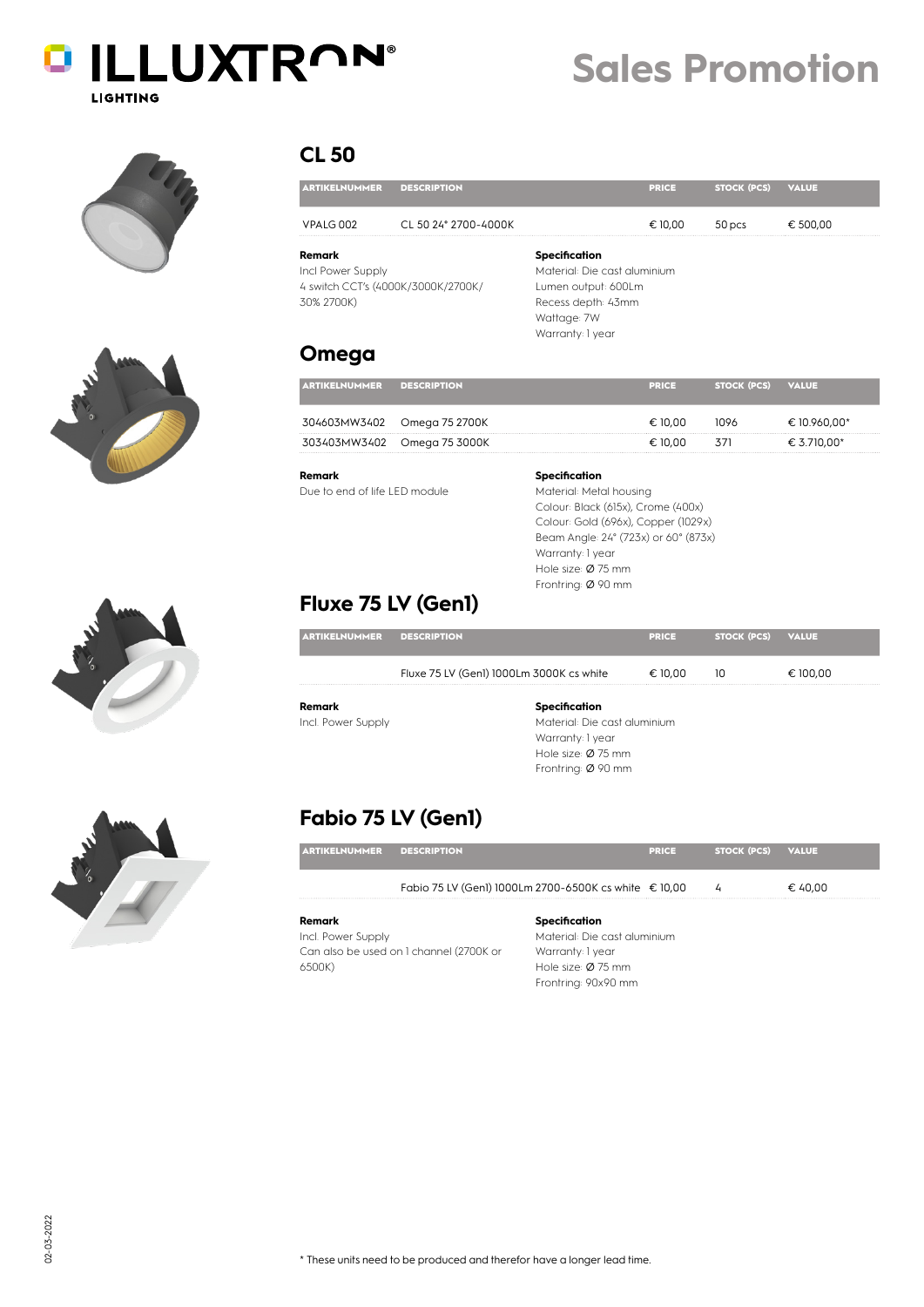

# **Sales Promotion**









| <b>ARTIKELNUMMER</b>                      | <b>DESCRIPTION</b>                 |                                                                                                                                      | <b>PRICE</b> | <b>STOCK (PCS)</b> | <b>VALUE</b> |
|-------------------------------------------|------------------------------------|--------------------------------------------------------------------------------------------------------------------------------------|--------------|--------------------|--------------|
| VPALG 002                                 | CL 50 24° 2700-4000K               |                                                                                                                                      | € 10,00      | 50 pcs             | € 500,00     |
| Remark<br>Incl Power Supply<br>30% 2700K) | 4 switch CCT's (4000K/3000K/2700K/ | <b>Specification</b><br>Material: Die cast aluminium<br>Lumen output: 600Lm<br>Recess depth: 43mm<br>Wattage: 7W<br>Warranty: 1 year |              |                    |              |

### **Omega**

| <b>ARTIKELNUMMER</b> | <b>DESCRIPTION</b>          | <b>PRICE</b> | <b>STOCK (PCS)</b> | <b>VALUE</b> |
|----------------------|-----------------------------|--------------|--------------------|--------------|
|                      | 304603MW3402 Omega 75 2700K | € 10.00      | 1096               | € 10.960,00* |
|                      | 303403MW3402 Omega 75 3000K | € 10.00      | 371                | € 3.710,00*  |
|                      |                             |              |                    |              |

Due to end of life LED module

### **Specification**

Material: Metal housing Colour: Black (615x), Crome (400x) Colour: Gold (696x), Copper (1029x) Beam Angle: 24° (723x) or 60° (873x) Warranty: 1 year Hole size: Ø 75 mm Frontring: Ø 90 mm

## **Fluxe 75 LV (Gen1)**

| <b>ARTIKELNUMMER</b> | <b>DESCRIPTION</b>                       | <b>PRICE</b> | <b>STOCK (PCS)</b> | <b>VALUE</b> |
|----------------------|------------------------------------------|--------------|--------------------|--------------|
|                      | Fluxe 75 LV (Gen1) 1000Lm 3000K cs white | € 10,00      | 10                 | € 100,00     |
| Remark               | Specification                            |              |                    |              |
| Incl. Power Supply   | Material: Die cast aluminium             |              |                    |              |
|                      | Warranty: 1 year                         |              |                    |              |
|                      | Hole size: $\varnothing$ 75 mm           |              |                    |              |
|                      | Frontring: Ø 90 mm                       |              |                    |              |

## **Fabio 75 LV (Gen1)**

|                                  | Fabio 75 LV (Gen1) 1000Lm 2700-6500K cs white € 10,00 |              |                   | € 40.00 |
|----------------------------------|-------------------------------------------------------|--------------|-------------------|---------|
|                                  |                                                       |              |                   |         |
| <b>ARTIKELNUMMER DESCRIPTION</b> |                                                       | <b>PRICE</b> | STOCK (PCS) VALUE |         |

Incl. Power Supply Can also be used on 1 channel (2700K or 6500K)

### Material: Die cast aluminium Warranty: 1 year Hole size: Ø 75 mm Frontring: 90x90 mm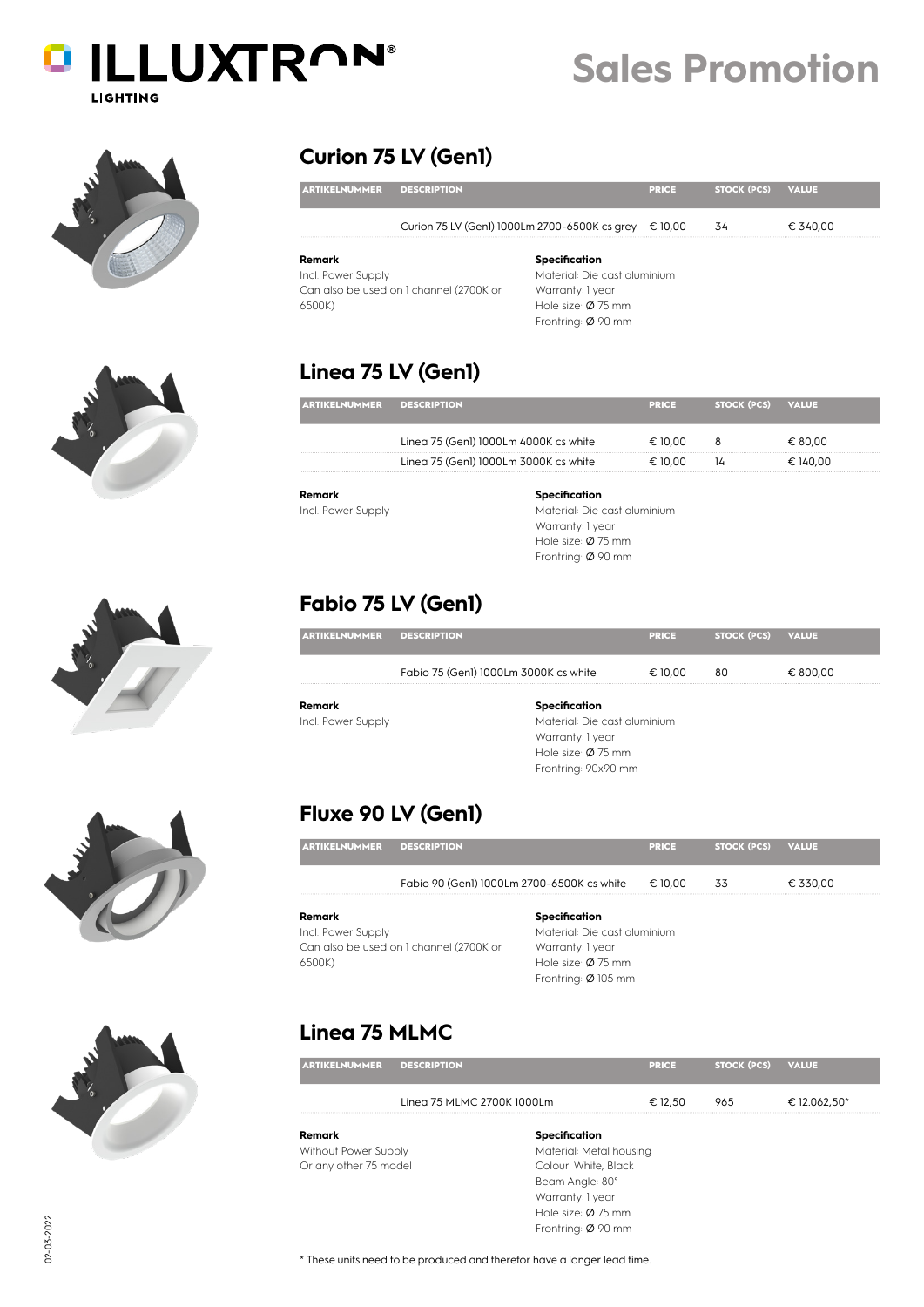







### **Curion 75 LV (Gen1)**

| <b>ARTIKELNUMMER</b>                    | <b>DESCRIPTION</b>                            |                                | <b>PRICE</b> | <b>STOCK (PCS)</b> | <b>VALUE</b> |
|-----------------------------------------|-----------------------------------------------|--------------------------------|--------------|--------------------|--------------|
|                                         | Curion 75 LV (Genl) 1000Lm 2700-6500K cs grey |                                | € 10.00      | 34                 | € 340.00     |
| Remark                                  |                                               | Specification                  |              |                    |              |
| Incl. Power Supply                      |                                               | Material: Die cast aluminium   |              |                    |              |
| Can also be used on 1 channel (2700K or |                                               | Warranty: 1 year               |              |                    |              |
| 6500K)                                  |                                               | Hole size: $\varnothing$ 75 mm |              |                    |              |
|                                         |                                               | Frontring: Ø 90 mm             |              |                    |              |

**Sales Promotion**

### **Linea 75 LV (Gen1)**

| KELNUMMER | <b>DESCRIPTION</b>                    | <b>PRICE</b> | STOCK (PCS) | <b>VALUE</b> |
|-----------|---------------------------------------|--------------|-------------|--------------|
|           | Linea 75 (Genl) 1000Lm 4000K cs white | € 10.00      | 8           | € 80.00      |
|           | Linea 75 (Genl) 1000Lm 3000K cs white | € 10.00      | 14          | € 140.00     |

**Remark** Incl. Power Supply **Specification**

Material: Die cast aluminium Warranty: 1 year Hole size: Ø 75 mm Frontring: Ø 90 mm

### **Fabio 75 LV (Gen1)**

| <b>ARTIKELNUMMER</b> | <b>DESCRIPTION</b>                    | <b>PRICE</b>                 | STOCK (PCS) VALUE |          |
|----------------------|---------------------------------------|------------------------------|-------------------|----------|
|                      | Fabio 75 (Genl) 1000Lm 3000K cs white | € 10.00                      | 80                | € 800,00 |
| Remark               | Specification                         |                              |                   |          |
| Incl. Power Supply   |                                       | Material: Die cast aluminium |                   |          |
|                      |                                       | Warranty: 1 year             |                   |          |

Hole size: Ø 75 mm Frontring: 90x90 mm

### **Fluxe 90 LV (Gen1)**

| <b>KELNUMMER</b>   | <b>DESCRIPTION</b>                         | <b>PRICE</b> | STOCK (PCS) | <b>VALUE</b> |  |
|--------------------|--------------------------------------------|--------------|-------------|--------------|--|
|                    | Fabio 90 (Genl) 1000Lm 2700-6500K cs white | € 10,00      | 33          | € 330,00     |  |
| Remark             | Specification                              |              |             |              |  |
| Incl. Power Supply | Material: Die cast aluminium               |              |             |              |  |

Can also be used on 1 channel (2700K or 6500K)

Warranty: 1 year Hole size: Ø 75 mm Frontring: Ø 105 mm

### **Linea 75 MLMC**

| <b>ARTIKELNUMMER</b>  | <b>DESCRIPTION</b>         |                         | <b>PRICE</b> | <b>STOCK (PCS)</b> | <b>VALUE</b> |
|-----------------------|----------------------------|-------------------------|--------------|--------------------|--------------|
|                       | Linea 75 MLMC 2700K 1000Lm |                         | € 12,50      | 965                | € 12.062,50* |
| Remark                |                            | Specification           |              |                    |              |
| Without Power Supply  |                            | Material: Metal housing |              |                    |              |
| Or any other 75 model |                            | Colour: White, Black    |              |                    |              |
|                       |                            | Beam Anale: 80°         |              |                    |              |

Warranty: 1 year Hole size: Ø 75 mm Frontring: Ø 90 mm

\* These units need to be produced and therefor have a longer lead time.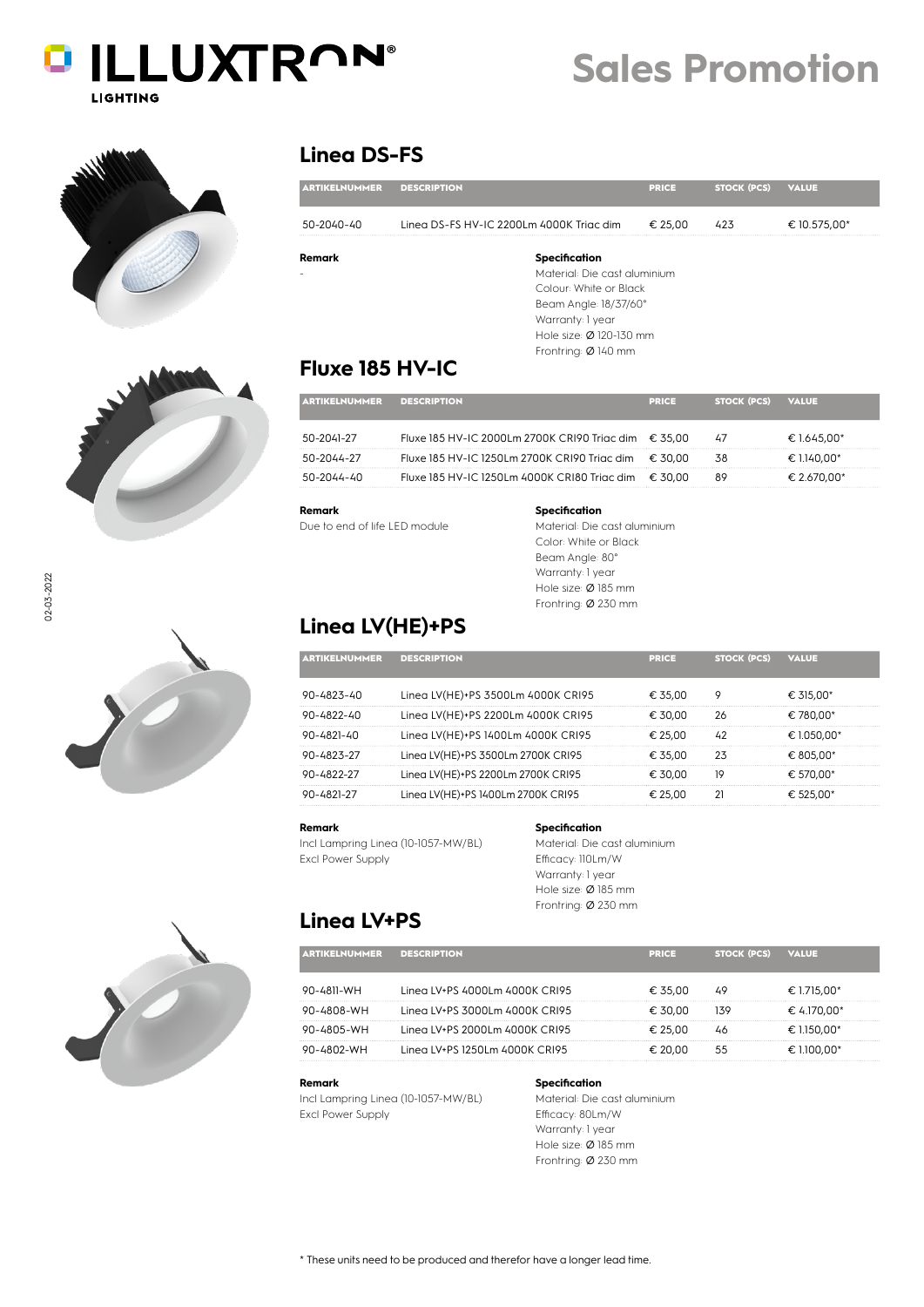





### **Linea DS-FS**

| <b>ARTIKELNUMMER</b> | <b>DESCRIPTION</b>                       | <b>PRICE</b> | <b>STOCK (PCS)</b> | <b>VALUE</b> |
|----------------------|------------------------------------------|--------------|--------------------|--------------|
| 50-2040-40           | Linea DS-FS HV-IC 2200Lm 4000K Triac dim | € 25,00      | 423                | € 10.575,00* |
| Remark               | Specification                            |              |                    |              |
|                      | Material: Die cast aluminium             |              |                    |              |
|                      | Colour: White or Black                   |              |                    |              |
|                      | Beam Angle: 18/37/60°                    |              |                    |              |
|                      | Warranty: 1 year                         |              |                    |              |
|                      | Hole size: Ø 120-130 mm                  |              |                    |              |
|                      | Frontring: Ø 140 mm                      |              |                    |              |
|                      | ___________                              |              |                    |              |

### **Fluxe 185 HV-IC**

| <b>ARTIKELNUMMER</b> | <b>DESCRIPTION</b>                                     | <b>PRICE</b> | <b>STOCK (PCS)</b> | <b>VALUE</b> |
|----------------------|--------------------------------------------------------|--------------|--------------------|--------------|
| 50-2041-27           | Fluxe 185 HV-IC 2000Lm 2700K CRI90 Trigc dim $€ 35.00$ |              | 47                 | € 1.645.00*  |
| 50-2044-27           | Fluxe 185 HV-IC 1250Lm 2700K CRI90 Triac dim           | € 30.00      | 38                 | € 1.140.00*  |
| 50-2044-40           | Fluxe 185 HV-IC 1250Lm 4000K CRI80 Trigc dim           | € 30.00      | 89                 | € 2.670.00*  |

**Remark**

Due to end of life LED module

### **Specification**

Material: Die cast aluminium Color: White or Black Beam Angle: 80° Warranty: 1 year Hole size: Ø 185 mm Frontring: Ø 230 mm

### **Linea LV(HE)+PS**

| <b>ARTIKELNUMMER</b> | <b>DESCRIPTION</b>                 | <b>PRICE</b> | <b>STOCK (PCS)</b> | VALUE       |
|----------------------|------------------------------------|--------------|--------------------|-------------|
| $90 - 4823 - 40$     | Linea LV(HE)+PS 3500Lm 4000K CRI95 | € 35.00      | Q                  | € 315.00*   |
| $90 - L822 - L0$     | Linea LV(HE)+PS 2200Lm 4000K CRI95 | 30.00        | 26                 | €.780.00*   |
| 90-4821-40           | Linea LV(HE)+PS 1400Lm 4000K CRI95 | € 25.00      |                    | € 1.050.00* |
| $90 - 4823 - 27$     | Linea LV(HE)+PS 3500Lm 2700K CRI95 | €.35.00      |                    | € 805.00*   |
| $Q0 - L8 22 - 27$    | Linea LV(HE)+PS 2200Lm 2700K CRI95 | € 30.00      | 19                 | € 570.00*   |
|                      | Linea LV(HE)+PS 1400Lm 2700K CRI95 |              |                    |             |

#### **Remark**

Incl Lampring Linea (10-1057-MW/BL) Excl Power Supply

#### **Specification**

Material: Die cast aluminium Efficacy: 110Lm/W Warranty: 1 year Hole size: Ø 185 mm Frontring: Ø 230 mm

### **Linea LV+PS**

| 0-4811-WH  | Linea LV+PS 4000Lm 4000K CRI95 | € 35.00 |     | € 1.715.00* |
|------------|--------------------------------|---------|-----|-------------|
| HW-8N84-N  | Linea LV+PS 3000Lm 4000K CRI95 | € 30.00 | 139 | € 4.170.00* |
| 90-4805-WH | Linea LV+PS 2000Lm 4000K CRI95 | 25.OO   |     | .150.00*    |
| )-4802-WH  | Linea LV+PS 1250Lm 4000K CRI95 | 20 U.U  |     | € 1100.00*  |

ARTIKELNUMMER DESCRIPTION PRICE STOCK (PCS) VALUE

#### **Remark**

Incl Lampring Linea (10-1057-MW/BL) Excl Power Supply

#### **Specification**

Material: Die cast aluminium Efficacy: 80Lm/W Warranty: 1 year Hole size: Ø 185 mm Frontring: Ø 230 mm



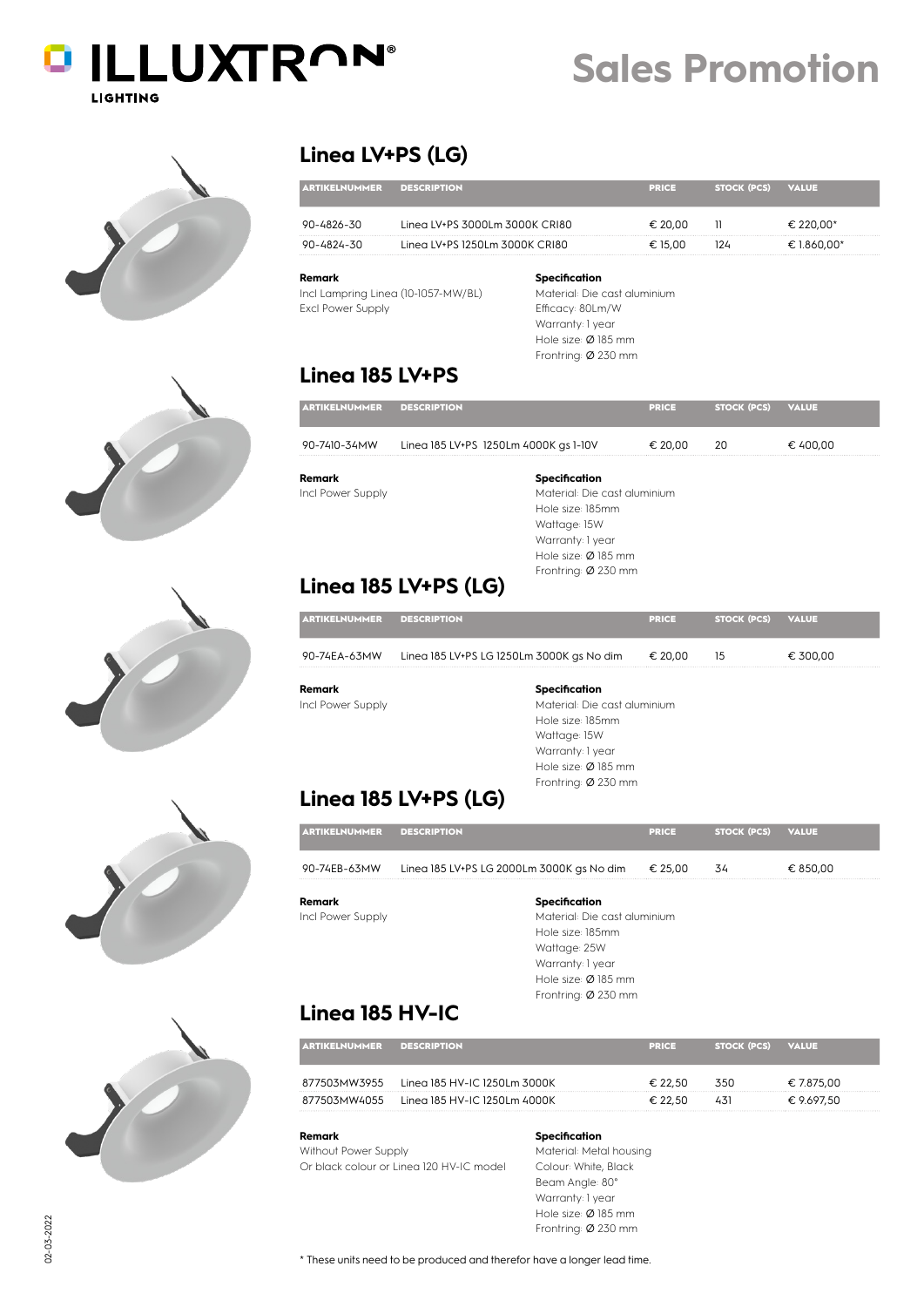# **DILLUXTRON® LIGHTING**









### **Linea LV+PS (LG)**

|                  |                                | ERKEE   | <b>STOCK (PCS)</b> | VALUE   |
|------------------|--------------------------------|---------|--------------------|---------|
| 1-4826-30        | Linea LV+PS 3000Lm 3000K CRI80 | -20.00  |                    | 220.00* |
| $90 - 4824 - 30$ | Linea LV+PS 1250Lm 3000K CRI80 | € 15.00 |                    |         |

#### **Remark**

Incl Lampring Linea (10-1057-MW/BL) Excl Power Supply

### **Specification**

Material: Die cast aluminium Efficacy: 80Lm/W Warranty: 1 year Hole size: Ø 185 mm Frontring: Ø 230 mm

### **Linea 185 LV+PS**

| <b>ARTIKELNUMMER</b> | <b>DESCRIPTION</b>                    | <b>PRICE</b> | <b>STOCK (PCS)</b> | <b>VALUE</b> |
|----------------------|---------------------------------------|--------------|--------------------|--------------|
| 90-7410-34MW         | Linea 185 LV+PS 1250Lm 4000K gs 1-10V | € 20.00      | 20                 | € 400,00     |
| Remark               | Specification                         |              |                    |              |
| Incl Power Supply    | Material: Die cast aluminium          |              |                    |              |
|                      | Hole size: 185mm                      |              |                    |              |
|                      | Wattage: 15W                          |              |                    |              |

Warranty: 1 year Hole size: Ø 185 mm Frontring: Ø 230 mm

### **Linea 185 LV+PS (LG)**

| <b>ARTIKELNUMMER</b> | <b>DESCRIPTION</b>                        | <b>PRICE</b> | <b>STOCK (PCS)</b> | <b>VALUE</b> |
|----------------------|-------------------------------------------|--------------|--------------------|--------------|
| 90-74EA-63MW         | Linea 185 LV+PS LG 1250Lm 3000K gs No dim | € 20.00      | 15                 | € 300,00     |
| Remark               | Specification                             |              |                    |              |
| Incl Power Supply    | Material: Die cast aluminium              |              |                    |              |
|                      | Hole size: 185mm                          |              |                    |              |
|                      | Wattaae: 15W                              |              |                    |              |

Warranty: 1 year Hole size: Ø 185 mm Frontring: Ø 230 mm

## **Linea 185 LV+PS (LG)**

| <b>ARTIKELNUMMER DESCRIPTION</b> |                                           | <b>PRICE</b> | STOCK (PCS) VALUE |          |
|----------------------------------|-------------------------------------------|--------------|-------------------|----------|
| 90-74EB-63MW                     | Linea 185 LV+PS LG 2000Lm 3000K gs No dim | € 25.00      | 34                | € 850.00 |
| Remark                           | Specification                             |              |                   |          |

Incl Power Supply

Material: Die cast aluminium Hole size: 185mm Wattage: 25W Warranty: 1 year Hole size: Ø 185 mm Frontring: Ø 230 mm

### **Linea 185 HV-IC**

| <b>ARTIKELNUMMER</b> | <b>DESCRIPTION</b>           | <b>PRICE</b> | STOCK (PCS) | <b>VALUE</b> |
|----------------------|------------------------------|--------------|-------------|--------------|
| 877503MW3955         | Linea 185 HV-IC 1250Lm 3000K | € 22.50      | 350         | € 7.875.00   |
| 877503MW4055         | Linea 185 HV-IC 1250Lm 4000K | € 22.50      | 431         | € 9.697.50   |

#### **Remark** Without Power Supply Or black colour or Linea 120 HV-IC model

**Specification**

Material: Metal housing Colour: White, Black Beam Angle: 80° Warranty: 1 year Hole size: Ø 185 mm Frontring: Ø 230 mm

# **Sales Promotion**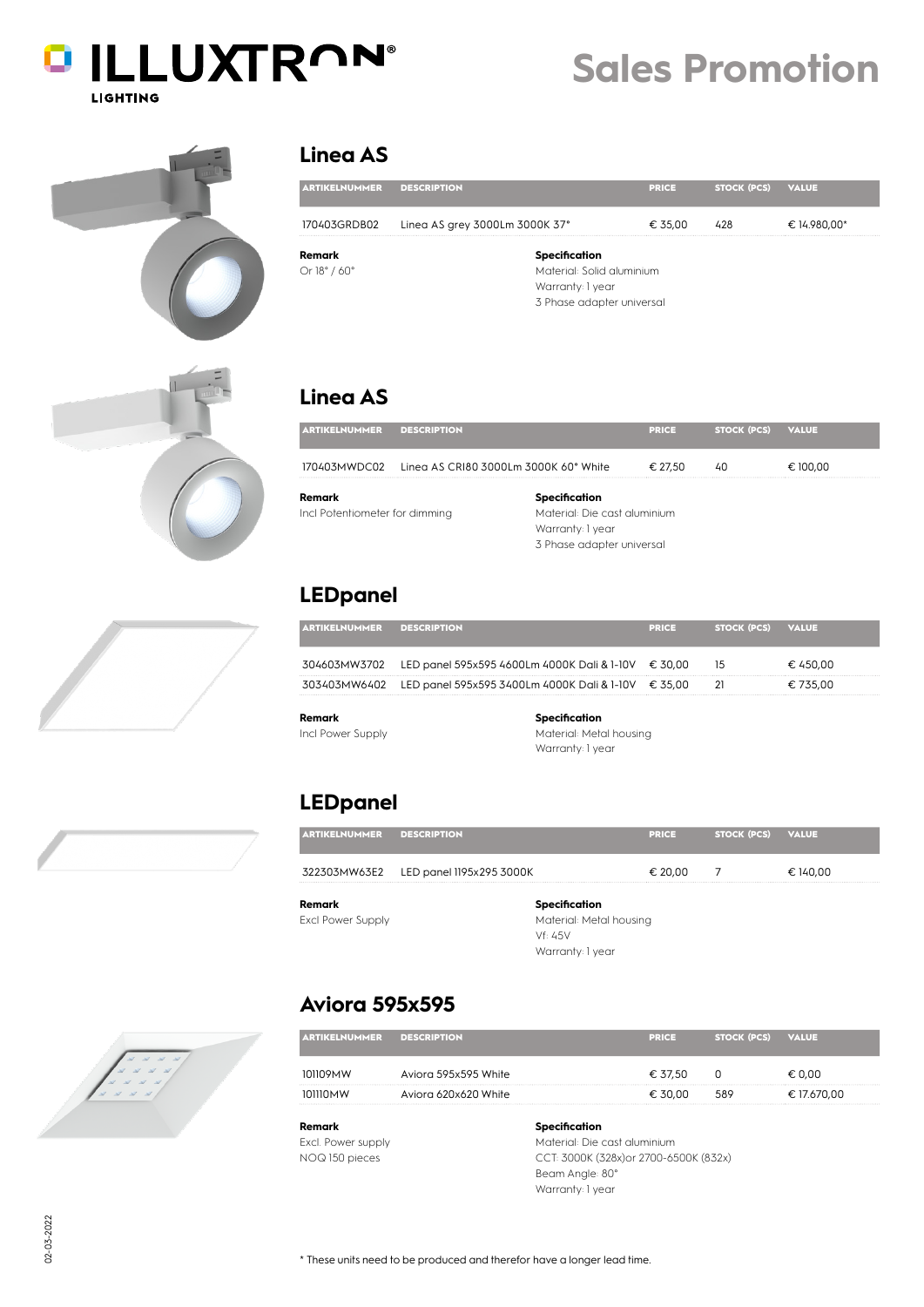| <b>DILLUXTRON®</b> |
|--------------------|
| LIGHTING           |

# **Sales Promotion**







### **Linea AS**

| <b>ARTIKELNUMMER</b>            | <b>DESCRIPTION</b>             | <b>PRICE</b> | <b>STOCK (PCS)</b> | <b>VALUE</b> |  |
|---------------------------------|--------------------------------|--------------|--------------------|--------------|--|
| 170403GRDB02                    | Linea AS grey 3000Lm 3000K 37° | € 35,00      | 428                | € 14.980,00* |  |
| Remark                          | Specification                  |              |                    |              |  |
| Or $18^{\circ}$ / 60 $^{\circ}$ | Material: Solid aluminium      |              |                    |              |  |
|                                 | Warranty: 1 year               |              |                    |              |  |
|                                 | 3 Phase adapter universal      |              |                    |              |  |

### **Linea AS**

| <b>ARTIKELNUMMER</b>           | <b>DESCRIPTION</b>                                 | <b>PRICE</b>                 | <b>STOCK (PCS)</b> | <b>VALUE</b> |  |  |
|--------------------------------|----------------------------------------------------|------------------------------|--------------------|--------------|--|--|
|                                | 170403MWDC02 Lineg AS CRI80 3000Lm 3000K 60° White | € 27.50                      | 40                 | € 100.00     |  |  |
| Remark                         | Specification                                      |                              |                    |              |  |  |
| Incl Potentiometer for dimming |                                                    | Material: Die cast aluminium |                    |              |  |  |
|                                | Warranty: 1 year                                   |                              |                    |              |  |  |
|                                |                                                    | 3 Phase adapter universal    |                    |              |  |  |

### **LEDpanel**

| <b>ELNUMMER</b> | <b>DESCRIPTION</b>                                               | <b>PRICE</b> | <b>STOCK (PCS)</b> | <b>VALUE</b> |
|-----------------|------------------------------------------------------------------|--------------|--------------------|--------------|
|                 | 304603MW3702 LED panel 595x595 4600Lm 4000K Dali & 1-10V € 30,00 |              | 15                 | € 450.00     |
|                 | 303403MW6402 LED panel 595x595 3400Lm 4000K Dali & 1-10V         | € 35.00      |                    | € 735.00     |
|                 |                                                                  |              |                    |              |

**Remark** Incl Power Supply

### **Specification**

Material: Metal housing Warranty: 1 year

### **LEDpanel**

Excl. Power supply NOQ 150 pieces

**Aviora 595x595**

| <b>ARTIKELNUMMER</b>     | <b>DESCRIPTION</b>                    |                         | <b>PRICE</b> | <b>STOCK (PCS)</b> | <b>VALUE</b> |
|--------------------------|---------------------------------------|-------------------------|--------------|--------------------|--------------|
|                          | 322303MW63E2 LED panel 1195x295 3000K |                         | € 20,00      |                    | € 140,00     |
| Remark                   |                                       | Specification           |              |                    |              |
| <b>Excl Power Supply</b> |                                       | Material: Metal housing |              |                    |              |
|                          |                                       | Vf: 45V                 |              |                    |              |
|                          |                                       | Warranty: 1 year        |              |                    |              |

| <b>ARTIKELNUMMER</b> | <b>DESCRIPTION</b>   | <b>TERICE</b> | <b>STOCK (PCS)</b> | <b>VALUE</b> |
|----------------------|----------------------|---------------|--------------------|--------------|
| n9MW                 | Aviora 595x595 White | € 37.50       |                    | € 0.00       |
| WMNII.               | Aviora 620x620 White | € 30.00       | 589                | € 17.670,00  |
|                      |                      |               |                    |              |

Material: Die cast aluminium CCT: 3000K (328x)or 2700-6500K (832x) Beam Angle: 80° Warranty: 1 year